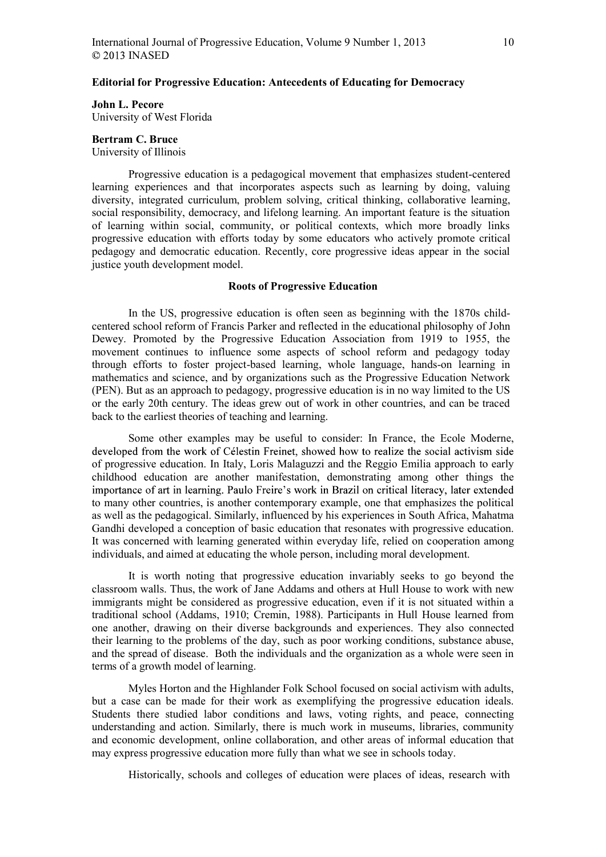## John L. Pecore

University of West Florida

# Bertram C. Bruce

University of Illinois

Progressive education is a pedagogical movement that emphasizes student-centered learning experiences and that incorporates aspects such as learning by doing, valuing diversity, integrated curriculum, problem solving, critical thinking, collaborative learning, social responsibility, democracy, and lifelong learning. An important feature is the situation of learning within social, community, or political contexts, which more broadly links progressive education with efforts today by some educators who actively promote critical pedagogy and democratic education. Recently, core progressive ideas appear in the social justice youth development model.

### Roots of Progressive Education

In the US, progressive education is often seen as beginning with the 1870s childcentered school reform of Francis Parker and reflected in the educational philosophy of John Dewey. Promoted by the Progressive Education Association from 1919 to 1955, the movement continues to influence some aspects of school reform and pedagogy today through efforts to foster project-based learning, whole language, hands-on learning in mathematics and science, and by organizations such as the Progressive Education Network (PEN). But as an approach to pedagogy, progressive education is in no way limited to the US or the early 20th century. The ideas grew out of work in other countries, and can be traced back to the earliest theories of teaching and learning.

Some other examples may be useful to consider: In France, the Ecole Moderne, developed from the work of Célestin Freinet, showed how to realize the social activism side of progressive education. In Italy, Loris Malaguzzi and the Reggio Emilia approach to early childhood education are another manifestation, demonstrating among other things the importance of art in learning. Paulo Freire's work in Brazil on critical literacy, later extended to many other countries, is another contemporary example, one that emphasizes the political as well as the pedagogical. Similarly, influenced by his experiences in South Africa, Mahatma Gandhi developed a conception of basic education that resonates with progressive education. It was concerned with learning generated within everyday life, relied on cooperation among individuals, and aimed at educating the whole person, including moral development.

It is worth noting that progressive education invariably seeks to go beyond the classroom walls. Thus, the work of Jane Addams and others at Hull House to work with new immigrants might be considered as progressive education, even if it is not situated within a traditional school (Addams, 1910; Cremin, 1988). Participants in Hull House learned from one another, drawing on their diverse backgrounds and experiences. They also connected their learning to the problems of the day, such as poor working conditions, substance abuse, and the spread of disease. Both the individuals and the organization as a whole were seen in terms of a growth model of learning.

Myles Horton and the Highlander Folk School focused on social activism with adults, but a case can be made for their work as exemplifying the progressive education ideals. Students there studied labor conditions and laws, voting rights, and peace, connecting understanding and action. Similarly, there is much work in museums, libraries, community and economic development, online collaboration, and other areas of informal education that may express progressive education more fully than what we see in schools today.

Historically, schools and colleges of education were places of ideas, research with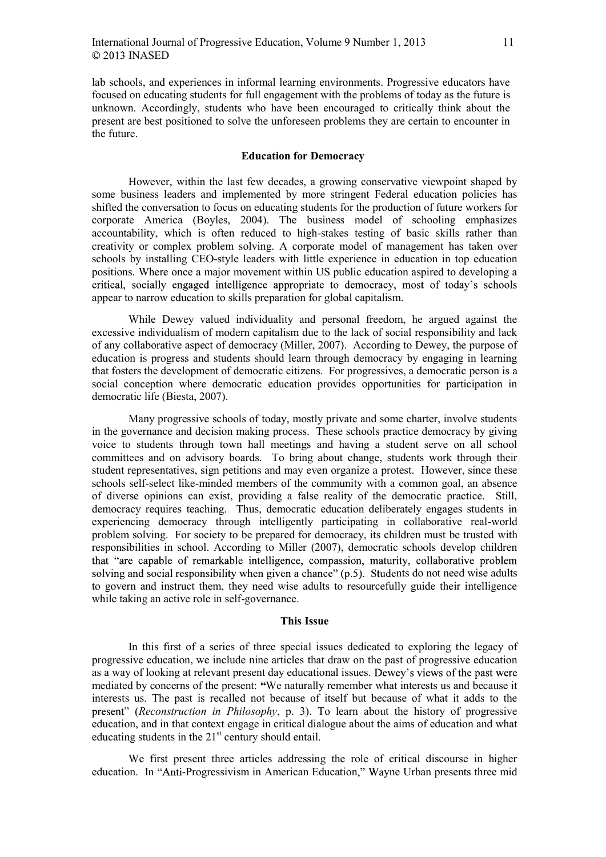lab schools, and experiences in informal learning environments. Progressive educators have focused on educating students for full engagement with the problems of today as the future is unknown. Accordingly, students who have been encouraged to critically think about the present are best positioned to solve the unforeseen problems they are certain to encounter in the future.

### Education for Democracy

However, within the last few decades, a growing conservative viewpoint shaped by some business leaders and implemented by more stringent Federal education policies has shifted the conversation to focus on educating students for the production of future workers for corporate America (Boyles, 2004). The business model of schooling emphasizes accountability, which is often reduced to high-stakes testing of basic skills rather than creativity or complex problem solving. A corporate model of management has taken over schools by installing CEO-style leaders with little experience in education in top education positions. Where once a major movement within US public education aspired to developing a critical, socially engaged intelligence appropriate to democracy, most of today's schools appear to narrow education to skills preparation for global capitalism.

While Dewey valued individuality and personal freedom, he argued against the excessive individualism of modern capitalism due to the lack of social responsibility and lack of any collaborative aspect of democracy (Miller, 2007). According to Dewey, the purpose of education is progress and students should learn through democracy by engaging in learning that fosters the development of democratic citizens. For progressives, a democratic person is a social conception where democratic education provides opportunities for participation in democratic life (Biesta, 2007).

Many progressive schools of today, mostly private and some charter, involve students in the governance and decision making process. These schools practice democracy by giving voice to students through town hall meetings and having a student serve on all school committees and on advisory boards. To bring about change, students work through their student representatives, sign petitions and may even organize a protest. However, since these schools self-select like-minded members of the community with a common goal, an absence of diverse opinions can exist, providing a false reality of the democratic practice. Still, democracy requires teaching. Thus, democratic education deliberately engages students in experiencing democracy through intelligently participating in collaborative real-world problem solving. For society to be prepared for democracy, its children must be trusted with responsibilities in school. According to Miller (2007), democratic schools develop children that "are capable of remarkable intelligence, compassion, maturity, collaborative problem solving and social responsibility when given a chance"  $(p.5)$ . Students do not need wise adults to govern and instruct them, they need wise adults to resourcefully guide their intelligence while taking an active role in self-governance.

#### This Issue

In this first of a series of three special issues dedicated to exploring the legacy of progressive education, we include nine articles that draw on the past of progressive education as a way of looking at relevant present day educational issues. Dewey's views of the past were mediated by concerns of the present: We naturally remember what interests us and because it interests us. The past is recalled not because of itself but because of what it adds to the present" (Reconstruction in Philosophy, p. 3). To learn about the history of progressive education, and in that context engage in critical dialogue about the aims of education and what educating students in the  $21<sup>st</sup>$  century should entail.

We first present three articles addressing the role of critical discourse in higher education. In "Anti-Progressivism in American Education," Wayne Urban presents three mid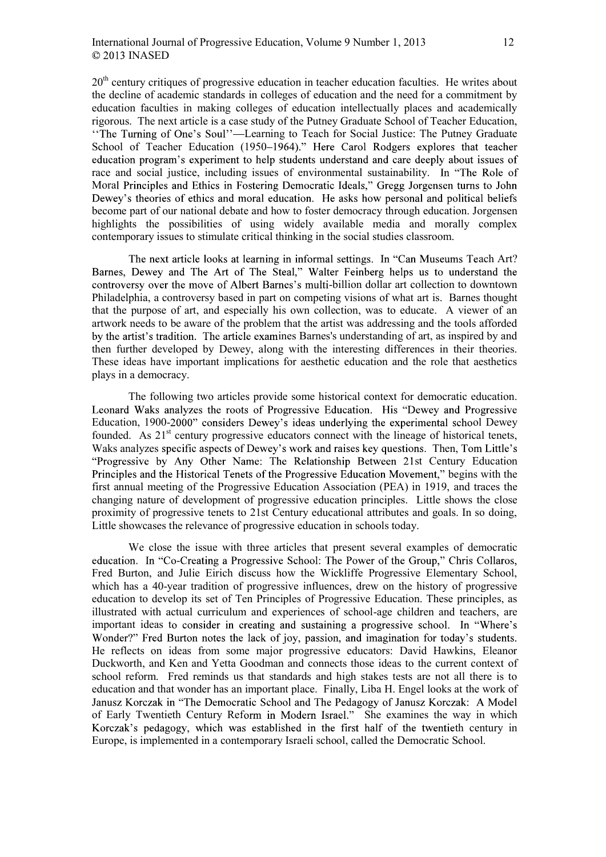$20<sup>th</sup>$  century critiques of progressive education in teacher education faculties. He writes about the decline of academic standards in colleges of education and the need for a commitment by education faculties in making colleges of education intellectually places and academically rigorous. The next article is a case study of the Putney Graduate School of Teacher Education, "The Turning of One's Soul"—Learning to Teach for Social Justice: The Putney Graduate School of Teacher Education (1950–1964)." Here Carol Rodgers explores that teacher education program's experiment to help students understand and care deeply about issues of race and social justice, including issues of environmental sustainability. In "The Role of Moral Principles and Ethics in Fostering Democratic Ideals." Gregg Jorgensen turns to John Dewey's theories of ethics and moral education. He asks how personal and political beliefs become part of our national debate and how to foster democracy through education. Jorgensen highlights the possibilities of using widely available media and morally complex contemporary issues to stimulate critical thinking in the social studies classroom.

The next article looks at learning in informal settings. In "Can Museums Teach Art? Barnes, Dewey and The Art of The Steal," Walter Feinberg helps us to understand the controversy over the move of Albert Barnes's multi-billion dollar art collection to downtown Philadelphia, a controversy based in part on competing visions of what art is. Barnes thought that the purpose of art, and especially his own collection, was to educate. A viewer of an artwork needs to be aware of the problem that the artist was addressing and the tools afforded by the artist's tradition. The article examines Barnes's understanding of art, as inspired by and then further developed by Dewey, along with the interesting differences in their theories. These ideas have important implications for aesthetic education and the role that aesthetics plays in a democracy.

The following two articles provide some historical context for democratic education. Leonard Waks analyzes the roots of Progressive Education. His "Dewey and Progressive Education, 1900-2000" considers Dewey's ideas underlying the experimental school Dewey founded. As  $21<sup>st</sup>$  century progressive educators connect with the lineage of historical tenets, Waks analyzes specific aspects of Dewey's work and raises key questions. Then, Tom Little's "Progressive by Any Other Name: The Relationship Between 21st Century Education Principles and the Historical Tenets of the Progressive Education Movement," begins with the first annual meeting of the Progressive Education Association (PEA) in 1919, and traces the changing nature of development of progressive education principles. Little shows the close proximity of progressive tenets to 21st Century educational attributes and goals. In so doing, Little showcases the relevance of progressive education in schools today.

We close the issue with three articles that present several examples of democratic education. In "Co-Creating a Progressive School: The Power of the Group," Chris Collaros, Fred Burton, and Julie Eirich discuss how the Wickliffe Progressive Elementary School, which has a 40-year tradition of progressive influences, drew on the history of progressive education to develop its set of Ten Principles of Progressive Education. These principles, as illustrated with actual curriculum and experiences of school-age children and teachers, are important ideas to consider in creating and sustaining a progressive school. In "Where's Wonder?" Fred Burton notes the lack of joy, passion, and imagination for today's students. He reflects on ideas from some major progressive educators: David Hawkins, Eleanor Duckworth, and Ken and Yetta Goodman and connects those ideas to the current context of school reform. Fred reminds us that standards and high stakes tests are not all there is to education and that wonder has an important place. Finally, Liba H. Engel looks at the work of Janusz Korczak in "The Democratic School and The Pedagogy of Janusz Korczak: A Model of Early Twentieth Century Reform in Modern Israel." She examines the way in which Korczak's pedagogy, which was established in the first half of the twentieth century in Europe, is implemented in a contemporary Israeli school, called the Democratic School.